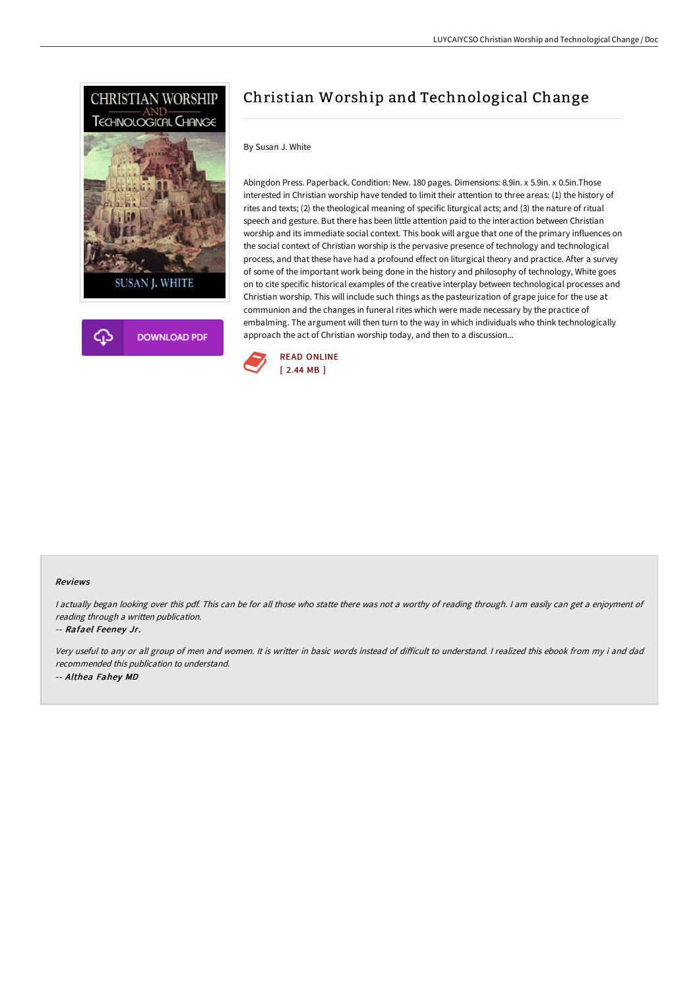



# Christian Worship and Technological Change

### By Susan J. White

Abingdon Press. Paperback. Condition: New. 180 pages. Dimensions: 8.9in. x 5.9in. x 0.5in.Those interested in Christian worship have tended to limit their attention to three areas: (1) the history of rites and texts; (2) the theological meaning of specific liturgical acts; and (3) the nature of ritual speech and gesture. But there has been little attention paid to the interaction between Christian worship and its immediate social context. This book will argue that one of the primary influences on the social context of Christian worship is the pervasive presence of technology and technological process, and that these have had a profound effect on liturgical theory and practice. After a survey of some of the important work being done in the history and philosophy of technology, White goes on to cite specific historical examples of the creative interplay between technological processes and Christian worship. This will include such things as the pasteurization of grape juice for the use at communion and the changes in funeral rites which were made necessary by the practice of embalming. The argument will then turn to the way in which individuals who think technologically approach the act of Christian worship today, and then to a discussion...



#### Reviews

<sup>I</sup> actually began looking over this pdf. This can be for all those who statte there was not <sup>a</sup> worthy of reading through. <sup>I</sup> am easily can get <sup>a</sup> enjoyment of reading through <sup>a</sup> written publication.

#### -- Rafael Feeney Jr.

Very useful to any or all group of men and women. It is writter in basic words instead of difficult to understand. I realized this ebook from my i and dad recommended this publication to understand. -- Althea Fahey MD